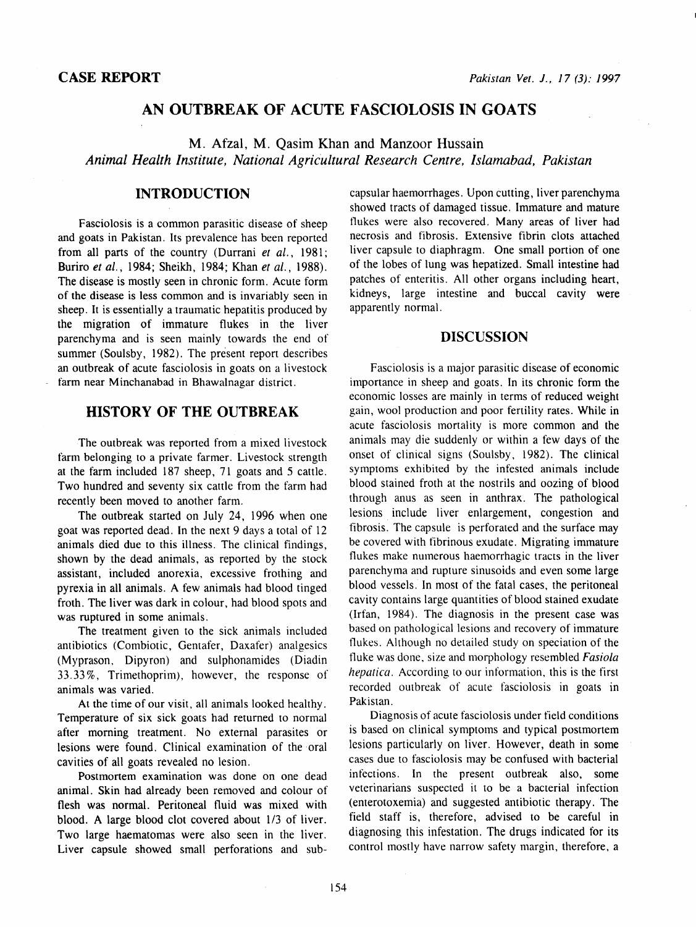# AN OUTBREAK OF ACUTE FASCIOLOSIS IN GOATS

M. Afzal, M. Qasim Khan and Manzoor Hussain *Animal Health Institute, National Agricultural Research Centre, Islamabad, Pakistan* 

### INTRODUCTION

Fasciolosis is a common parasitic disease of sheep and goats in Pakistan. Its prevalence has been reported from all parts of the country (Durrani *et al.,* 1981; Buriro *et al.,* 1984; Sheikh, 1984; Khan *et al.,* 1988). The disease is mostly seen in chronic form. Acute form of the disease is less common and is invariably seen in sheep. It is essentially a traumatic hepatitis produced by the migration of immature flukes in the liver parenchyma and is seen mainly towards the end of summer (Soulsby, 1982). The present report describes an outbreak of acute fasciolosis in goats on a livestock farm near Minchanabad in Bhawalnagar district.

## HISTORY OF THE OUTBREAK

The outbreak was reported from a mixed livestock farm belonging to a private farmer. Livestock strength at the farm included 187 sheep, 71 goats and 5 cattle. Two hundred and seventy six cattle from the farm had recently been moved to another farm.

The outbreak started on July 24, 1996 when one goat was reported dead. In the next 9 days a total of 12 animals died due to this illness. The clinical findings, shown by the dead animals, as reported by the stock assistant, included anorexia, excessive frothing and pyrexia in all animals. A few animals had blood tinged froth. The liver was dark in colour, had blood spots and was ruptured in some animals.

The treatment given to the sick animals included antibiotics (Combiotic, Gentafer, Daxafer) analgesics (Myprason, Dipyron) and sulphonamides (Diadin 33.33%, Trimethoprim), however, the response of animals was varied.

At the time of our visit, all animals looked healthy. Temperature of six sick goats had returned to normal after morning treatment. No external parasites or lesions were found. Clinical examination of the oral cavities of all goats revealed no lesion.

Postmortem examination was done on one dead animal. Skin had already been removed and colour of flesh was normal. Peritoneal fluid was mixed with blood. A large blood clot covered about 1/3 of liver. Two large haematomas were also seen in the liver. Liver capsule showed small perforations and subcapsular haemorrhages. Upon cutting, liver parenchyma showed tracts of damaged tissue. Immature and mature flukes were also recovered. Many areas of liver had necrosis and fibrosis. Extensive fibrin clots attached liver capsule to diaphragm. One small portion of one of the lobes of lung was hepatized. Small intestine had patches of enteritis. All other organs including heart, kidneys, large intestine and buccal cavity were apparently normal.

### DISCUSSION

Fasciolosis is a major parasitic disease of economic importance in sheep and goats. In its chronic form the economic losses are mainly in terms of reduced weight gain, wool production and poor fertility rates. While in acute fasciolosis mortality is more common and the animals may die suddenly or within a few days of the onset of clinical signs (Soulsby, 1982). The clinical symptoms exhibited by the infested animals include blood stained froth at the nostrils and oozing of blood through anus as seen in anthrax. The pathological lesions include liver enlargement, congestion and fibrosis. The capsule is perforated and the surface may be covered with fibrinous exudate. Migrating immature flukes make numerous haemorrhagic tracts in the liver parenchyma and rupture sinusoids and even some large blood vessels. In most of the fatal cases, the peritoneal cavity contains large quantities of blood stained exudate (lrfan, 1984). The diagnosis in the present case was based on pathological lesions and recovery of immature flukes. Although no detailed study on speciation of the fluke was done, size and morphology resembled *Fasiola hepatica.* According to our information, this is the first recorded outbreak of acute fasciolosis in goats in Pakistan.

Diagnosis of acute fasciolosis under field conditions is based on clinical symptoms and typical postmortem lesions particularly on liver. However, death in some cases due to fasciolosis may be confused with bacterial infections. In the present outbreak also, some veterinarians suspected it to be a bacterial infection (enterotoxemia) and suggested antibiotic therapy. The field staff is, therefore, advised to be careful in diagnosing this infestation. The drugs indicated for its control mostly have narrow safety margin, therefore, a